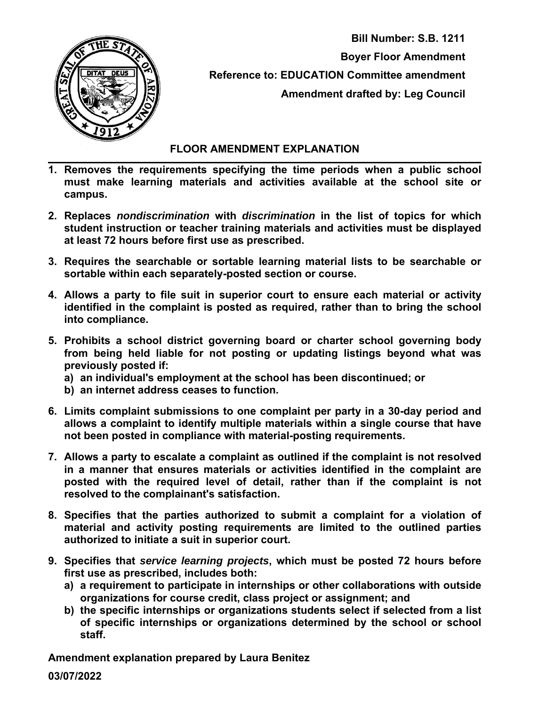

 **Bill Number: S.B. 1211 Boyer Floor Amendment Reference to: EDUCATION Committee amendment Amendment drafted by: Leg Council** 

## **FLOOR AMENDMENT EXPLANATION**

- **1. Removes the requirements specifying the time periods when a public school must make learning materials and activities available at the school site or campus.**
- **2. Replaces** *nondiscrimination* **with** *discrimination* **in the list of topics for which student instruction or teacher training materials and activities must be displayed at least 72 hours before first use as prescribed.**
- **3. Requires the searchable or sortable learning material lists to be searchable or sortable within each separately-posted section or course.**
- **4. Allows a party to file suit in superior court to ensure each material or activity identified in the complaint is posted as required, rather than to bring the school into compliance.**
- **5. Prohibits a school district governing board or charter school governing body from being held liable for not posting or updating listings beyond what was previously posted if:** 
	- **a) an individual's employment at the school has been discontinued; or**
	- **b) an internet address ceases to function.**
- **6. Limits complaint submissions to one complaint per party in a 30-day period and allows a complaint to identify multiple materials within a single course that have not been posted in compliance with material-posting requirements.**
- **7. Allows a party to escalate a complaint as outlined if the complaint is not resolved in a manner that ensures materials or activities identified in the complaint are posted with the required level of detail, rather than if the complaint is not resolved to the complainant's satisfaction.**
- **8. Specifies that the parties authorized to submit a complaint for a violation of material and activity posting requirements are limited to the outlined parties authorized to initiate a suit in superior court.**
- **9. Specifies that** *service learning projects***, which must be posted 72 hours before first use as prescribed, includes both:** 
	- **a) a requirement to participate in internships or other collaborations with outside organizations for course credit, class project or assignment; and**
	- **b) the specific internships or organizations students select if selected from a list of specific internships or organizations determined by the school or school staff.**

**Amendment explanation prepared by Laura Benitez** 

**03/07/2022**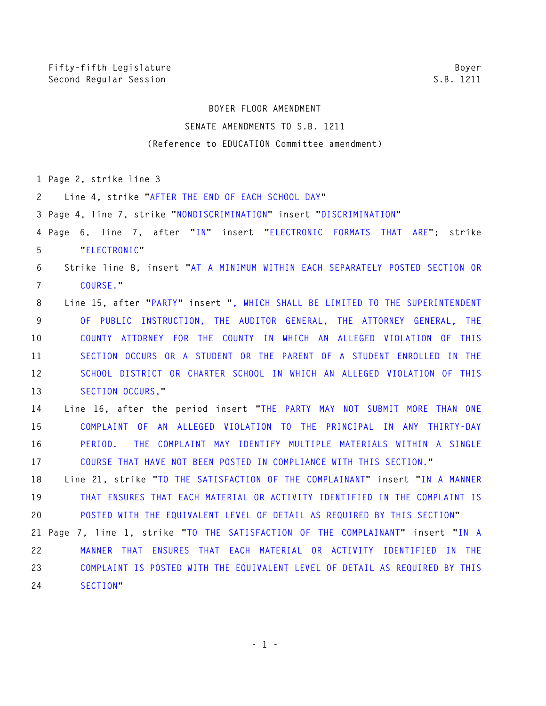## **BOYER FLOOR AMENDMENT SENATE AMENDMENTS TO S.B. 1211 (Reference to EDUCATION Committee amendment)**

**1 Page 2, strike line 3** 

**2 Line 4, strike "AFTER THE END OF EACH SCHOOL DAY"** 

**3 Page 4, line 7, strike "NONDISCRIMINATION" insert "DISCRIMINATION"** 

**4 Page 6, line 7, after "IN" insert "ELECTRONIC FORMATS THAT ARE"; strike 5 "ELECTRONIC"** 

## **6 Strike line 8, insert "AT A MINIMUM WITHIN EACH SEPARATELY POSTED SECTION OR 7 COURSE."**

**8 Line 15, after "PARTY" insert ", WHICH SHALL BE LIMITED TO THE SUPERINTENDENT 9 OF PUBLIC INSTRUCTION, THE AUDITOR GENERAL, THE ATTORNEY GENERAL, THE 10 COUNTY ATTORNEY FOR THE COUNTY IN WHICH AN ALLEGED VIOLATION OF THIS 11 SECTION OCCURS OR A STUDENT OR THE PARENT OF A STUDENT ENROLLED IN THE 12 SCHOOL DISTRICT OR CHARTER SCHOOL IN WHICH AN ALLEGED VIOLATION OF THIS 13 SECTION OCCURS,"** 

**14 Line 16, after the period insert "THE PARTY MAY NOT SUBMIT MORE THAN ONE 15 COMPLAINT OF AN ALLEGED VIOLATION TO THE PRINCIPAL IN ANY THIRTY-DAY 16 PERIOD. THE COMPLAINT MAY IDENTIFY MULTIPLE MATERIALS WITHIN A SINGLE 17 COURSE THAT HAVE NOT BEEN POSTED IN COMPLIANCE WITH THIS SECTION."** 

**18 Line 21, strike "TO THE SATISFACTION OF THE COMPLAINANT" insert "IN A MANNER 19 THAT ENSURES THAT EACH MATERIAL OR ACTIVITY IDENTIFIED IN THE COMPLAINT IS 20 POSTED WITH THE EQUIVALENT LEVEL OF DETAIL AS REQUIRED BY THIS SECTION"** 

**21 Page 7, line 1, strike "TO THE SATISFACTION OF THE COMPLAINANT" insert "IN A 22 MANNER THAT ENSURES THAT EACH MATERIAL OR ACTIVITY IDENTIFIED IN THE 23 COMPLAINT IS POSTED WITH THE EQUIVALENT LEVEL OF DETAIL AS REQUIRED BY THIS 24 SECTION"** 

**- 1 -**